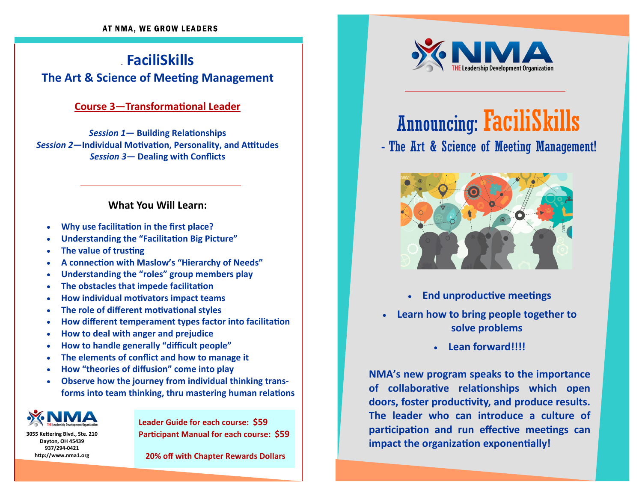# . **FaciliSkillsThe Art & Science of MeeƟng Management**

#### **Course 3—TransformaƟonal Leader**

*Session 1***— Building RelaƟonships** *Session 2***—Individual MoƟvaƟon, Personality, and Aƫtudes** *Session 3***— Dealing with Conflicts**

#### **What You Will Learn:**

- $\bullet$ **Why use facilitaƟon in the first place?**
- $\bullet$ **Understanding the "FacilitaƟon Big Picture"**
- $\bullet$ **The value of trusting**
- $\bullet$ **A connecƟon with Maslow's "Hierarchy of Needs"**
- $\bullet$ **Understanding the "roles" group members play**
- $\bullet$ **The obstacles that impede facilitaƟon**
- $\bullet$ **How individual moƟvators impact teams**
- $\bullet$ **The role of different motivational styles**
- $\bullet$ **how** different temperament types factor into facilitation
- $\bullet$ **How to deal with anger and prejudice**
- $\bullet$ **How to handle generally "difficult people"**
- $\bullet$ **The elements of conflict and how to manage it**
- $\bullet$ **How "theories of diffusion" come into play**
- $\bullet$  **Observe how the journey from individual thinking transforms into team thinking, thru mastering human relaƟons**



**3055 KeƩering Blvd., Ste. 210 Dayton, OH 45439 937/294-0421 hƩp://www.nma1.org**

**Leader Guide for each course: \$59 ParƟcipant Manual for each course: \$59**

**20% <sup>o</sup>ff with Chapter Rewards Dollars**



# Announcing: FaciliSkills - The Art & Science of Meeting Management!



- **End unproducƟve meeƟngs**
- **Learn how to bring people together to solve problems**
	- **Lean forward!!!!**

**NMA's new program speaks to the importance of collaboraƟve relaƟonships which open doors, foster producƟvity, and produce results. The leader who can introduce <sup>a</sup> culture of parƟcipaƟon and run <sup>e</sup>ffecƟve meeƟngs can impact the organization exponentially!**